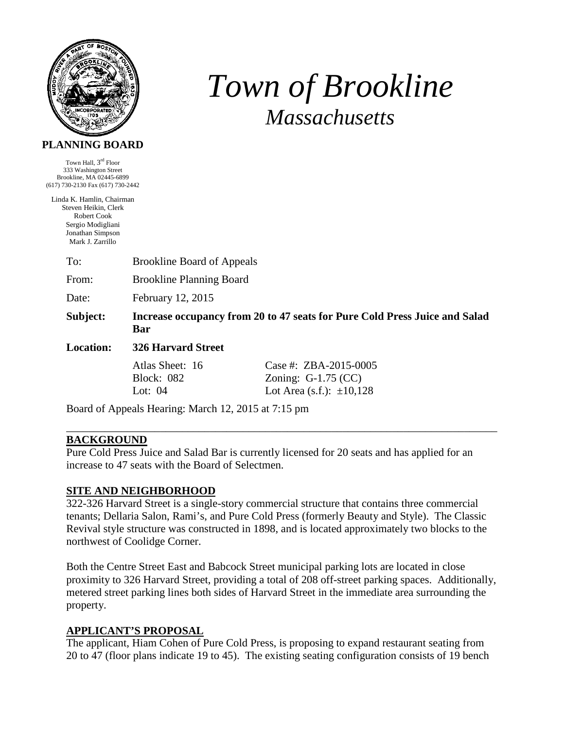

# *Town of Brookline Massachusetts*

#### **PLANNING BOARD**

Town Hall, 3rd Floor 333 Washington Street Brookline, MA 02445-6899 (617) 730-2130 Fax (617) 730-2442

Linda K. Hamlin, Chairman Steven Heikin, Clerk Robert Cook Sergio Modigliani Jonathan Simpson Mark J. Zarrillo

To: Brookline Board of Appeals

From: Brookline Planning Board

Date: February 12, 2015

**Subject: Increase occupancy from 20 to 47 seats for Pure Cold Press Juice and Salad Bar** 

**Location: 326 Harvard Street**

Atlas Sheet: 16 Case #: ZBA-2015-0005 Block: 082 Zoning: G-1.75 (CC) Lot: 04 Lot Area (s.f.):  $\pm 10,128$ 

Board of Appeals Hearing: March 12, 2015 at 7:15 pm

#### **BACKGROUND**

Pure Cold Press Juice and Salad Bar is currently licensed for 20 seats and has applied for an increase to 47 seats with the Board of Selectmen.

\_\_\_\_\_\_\_\_\_\_\_\_\_\_\_\_\_\_\_\_\_\_\_\_\_\_\_\_\_\_\_\_\_\_\_\_\_\_\_\_\_\_\_\_\_\_\_\_\_\_\_\_\_\_\_\_\_\_\_\_\_\_\_\_\_\_\_\_\_\_\_\_\_\_\_\_\_\_

#### **SITE AND NEIGHBORHOOD**

322-326 Harvard Street is a single-story commercial structure that contains three commercial tenants; Dellaria Salon, Rami's, and Pure Cold Press (formerly Beauty and Style). The Classic Revival style structure was constructed in 1898, and is located approximately two blocks to the northwest of Coolidge Corner.

Both the Centre Street East and Babcock Street municipal parking lots are located in close proximity to 326 Harvard Street, providing a total of 208 off-street parking spaces. Additionally, metered street parking lines both sides of Harvard Street in the immediate area surrounding the property.

#### **APPLICANT'S PROPOSAL**

The applicant, Hiam Cohen of Pure Cold Press, is proposing to expand restaurant seating from 20 to 47 (floor plans indicate 19 to 45). The existing seating configuration consists of 19 bench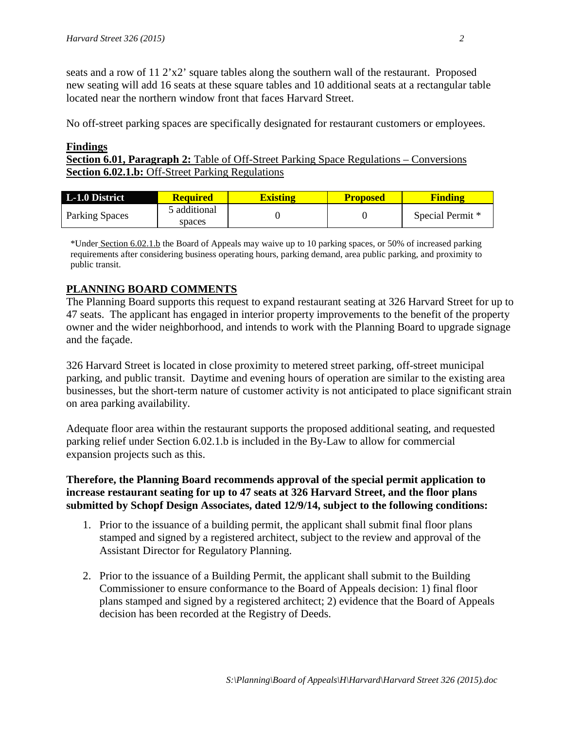seats and a row of  $11 \frac{2}{x^2}$  square tables along the southern wall of the restaurant. Proposed new seating will add 16 seats at these square tables and 10 additional seats at a rectangular table located near the northern window front that faces Harvard Street.

No off-street parking spaces are specifically designated for restaurant customers or employees.

#### **Findings**

**Section 6.01, Paragraph 2:** Table of Off-Street Parking Space Regulations – Conversions **Section 6.02.1.b:** Off-Street Parking Regulations

| L-1.0 District        | <b>Required</b>        | <b>Existing</b> | <b>Proposed</b> | <b>Finding</b>   |
|-----------------------|------------------------|-----------------|-----------------|------------------|
| <b>Parking Spaces</b> | 5 additional<br>spaces |                 |                 | Special Permit * |

\*Under Section 6.02.1.b the Board of Appeals may waive up to 10 parking spaces, or 50% of increased parking requirements after considering business operating hours, parking demand, area public parking, and proximity to public transit.

## **PLANNING BOARD COMMENTS**

The Planning Board supports this request to expand restaurant seating at 326 Harvard Street for up to 47 seats. The applicant has engaged in interior property improvements to the benefit of the property owner and the wider neighborhood, and intends to work with the Planning Board to upgrade signage and the façade.

326 Harvard Street is located in close proximity to metered street parking, off-street municipal parking, and public transit. Daytime and evening hours of operation are similar to the existing area businesses, but the short-term nature of customer activity is not anticipated to place significant strain on area parking availability.

Adequate floor area within the restaurant supports the proposed additional seating, and requested parking relief under Section 6.02.1.b is included in the By-Law to allow for commercial expansion projects such as this.

### **Therefore, the Planning Board recommends approval of the special permit application to increase restaurant seating for up to 47 seats at 326 Harvard Street, and the floor plans submitted by Schopf Design Associates, dated 12/9/14, subject to the following conditions:**

- 1. Prior to the issuance of a building permit, the applicant shall submit final floor plans stamped and signed by a registered architect, subject to the review and approval of the Assistant Director for Regulatory Planning.
- 2. Prior to the issuance of a Building Permit, the applicant shall submit to the Building Commissioner to ensure conformance to the Board of Appeals decision: 1) final floor plans stamped and signed by a registered architect; 2) evidence that the Board of Appeals decision has been recorded at the Registry of Deeds.